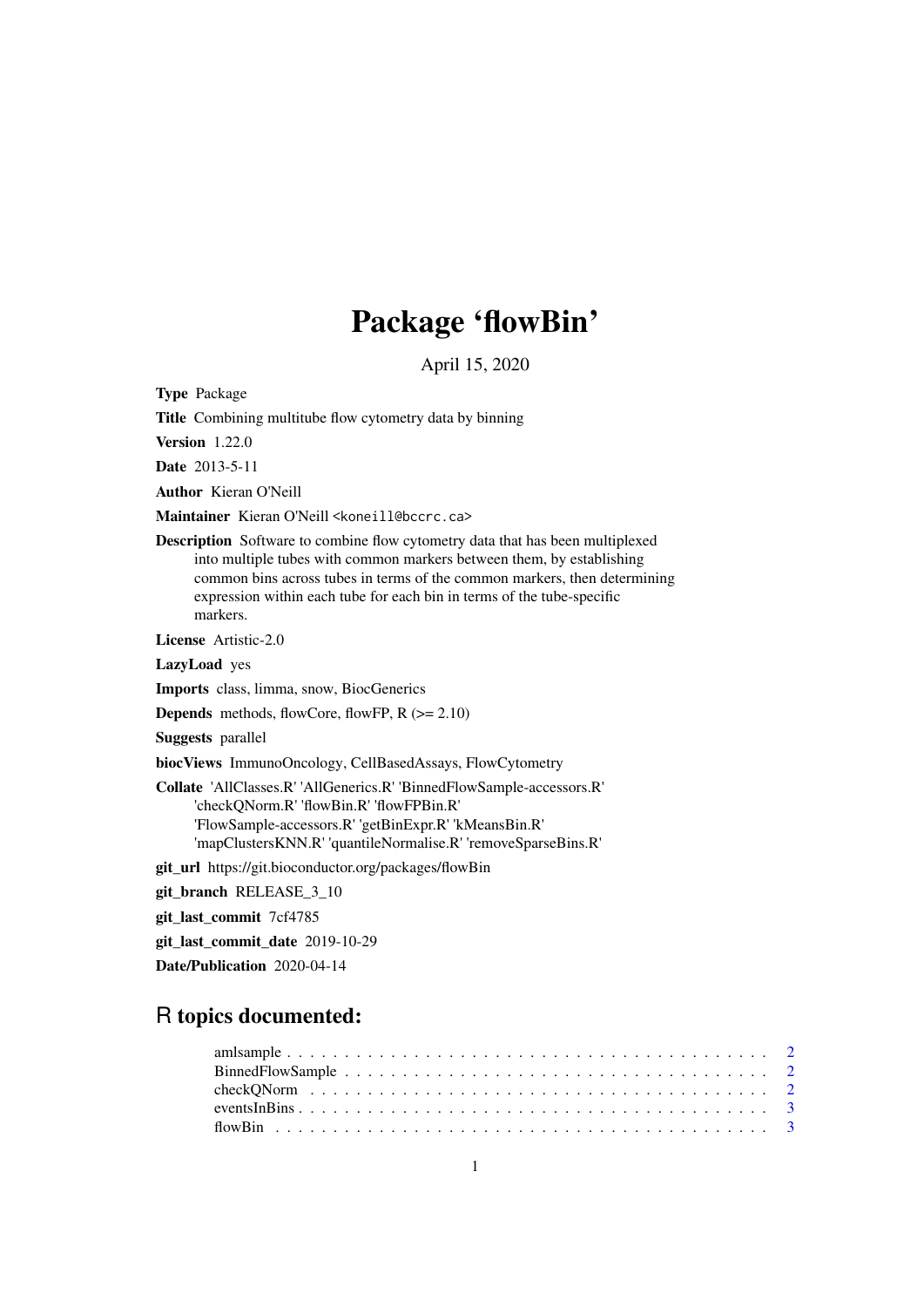## Package 'flowBin'

April 15, 2020

Type Package

Title Combining multitube flow cytometry data by binning

Version 1.22.0

Date 2013-5-11

Author Kieran O'Neill

Maintainer Kieran O'Neill <koneill@bccrc.ca>

Description Software to combine flow cytometry data that has been multiplexed into multiple tubes with common markers between them, by establishing common bins across tubes in terms of the common markers, then determining expression within each tube for each bin in terms of the tube-specific markers.

License Artistic-2.0

LazyLoad yes

Imports class, limma, snow, BiocGenerics

**Depends** methods, flowCore, flowFP,  $R$  ( $>= 2.10$ )

Suggests parallel

biocViews ImmunoOncology, CellBasedAssays, FlowCytometry

Collate 'AllClasses.R' 'AllGenerics.R' 'BinnedFlowSample-accessors.R' 'checkQNorm.R' 'flowBin.R' 'flowFPBin.R' 'FlowSample-accessors.R' 'getBinExpr.R' 'kMeansBin.R' 'mapClustersKNN.R' 'quantileNormalise.R' 'removeSparseBins.R'

git\_url https://git.bioconductor.org/packages/flowBin

git\_branch RELEASE\_3\_10

git\_last\_commit 7cf4785

git\_last\_commit\_date 2019-10-29

Date/Publication 2020-04-14

## R topics documented: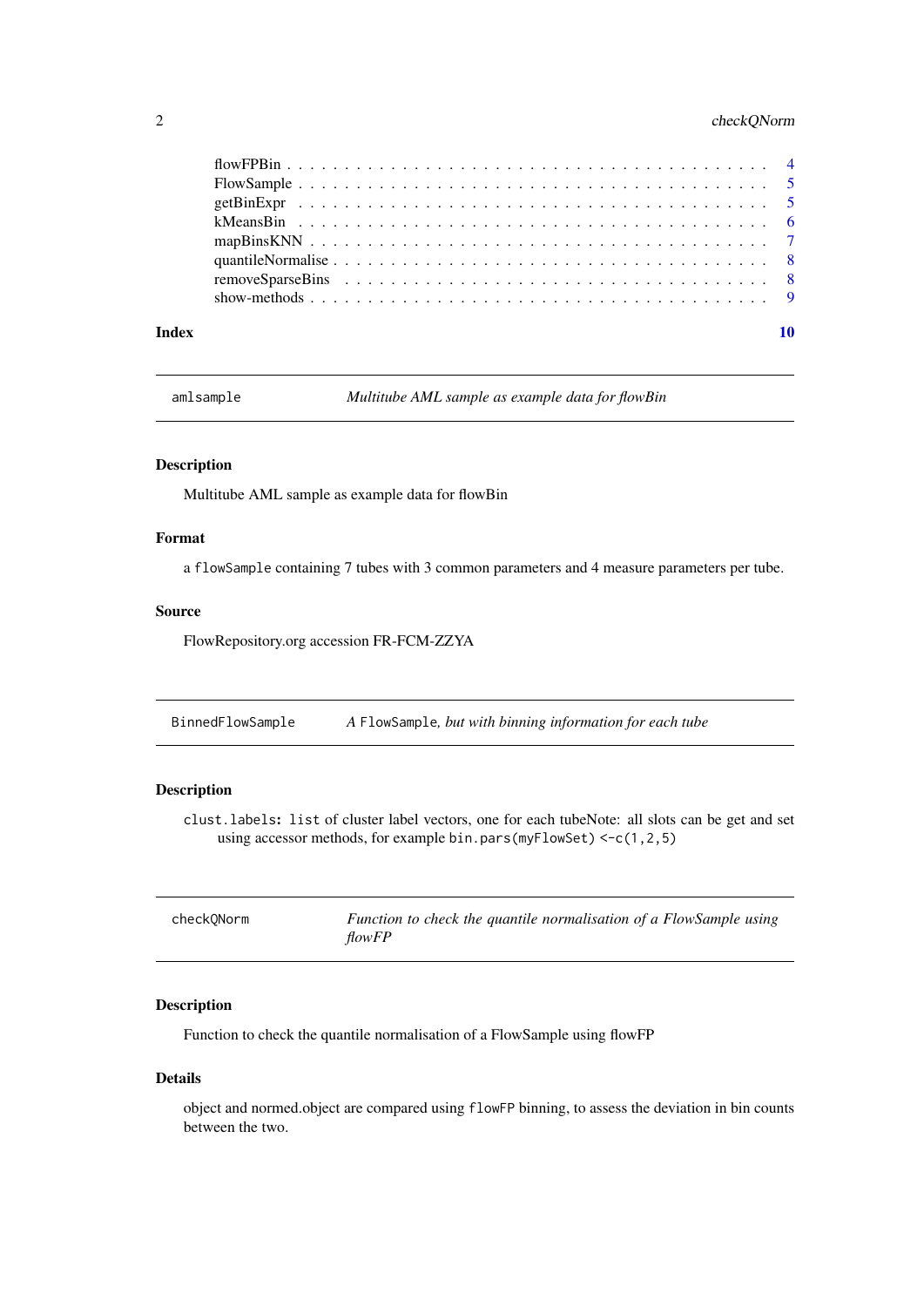## <span id="page-1-0"></span>2 checkQNorm

#### $\blacksquare$

amlsample *Multitube AML sample as example data for flowBin*

## Description

Multitube AML sample as example data for flowBin

## Format

a flowSample containing 7 tubes with 3 common parameters and 4 measure parameters per tube.

## Source

FlowRepository.org accession FR-FCM-ZZYA

BinnedFlowSample *A* FlowSample*, but with binning information for each tube*

## Description

clust.labels: list of cluster label vectors, one for each tubeNote: all slots can be get and set using accessor methods, for example bin.pars(myFlowSet)  $\leq c(1,2,5)$ 

| checkONorm | Function to check the quantile normalisation of a FlowSample using |
|------------|--------------------------------------------------------------------|
|            | <i>flowFP</i>                                                      |

## Description

Function to check the quantile normalisation of a FlowSample using flowFP

## Details

object and normed.object are compared using flowFP binning, to assess the deviation in bin counts between the two.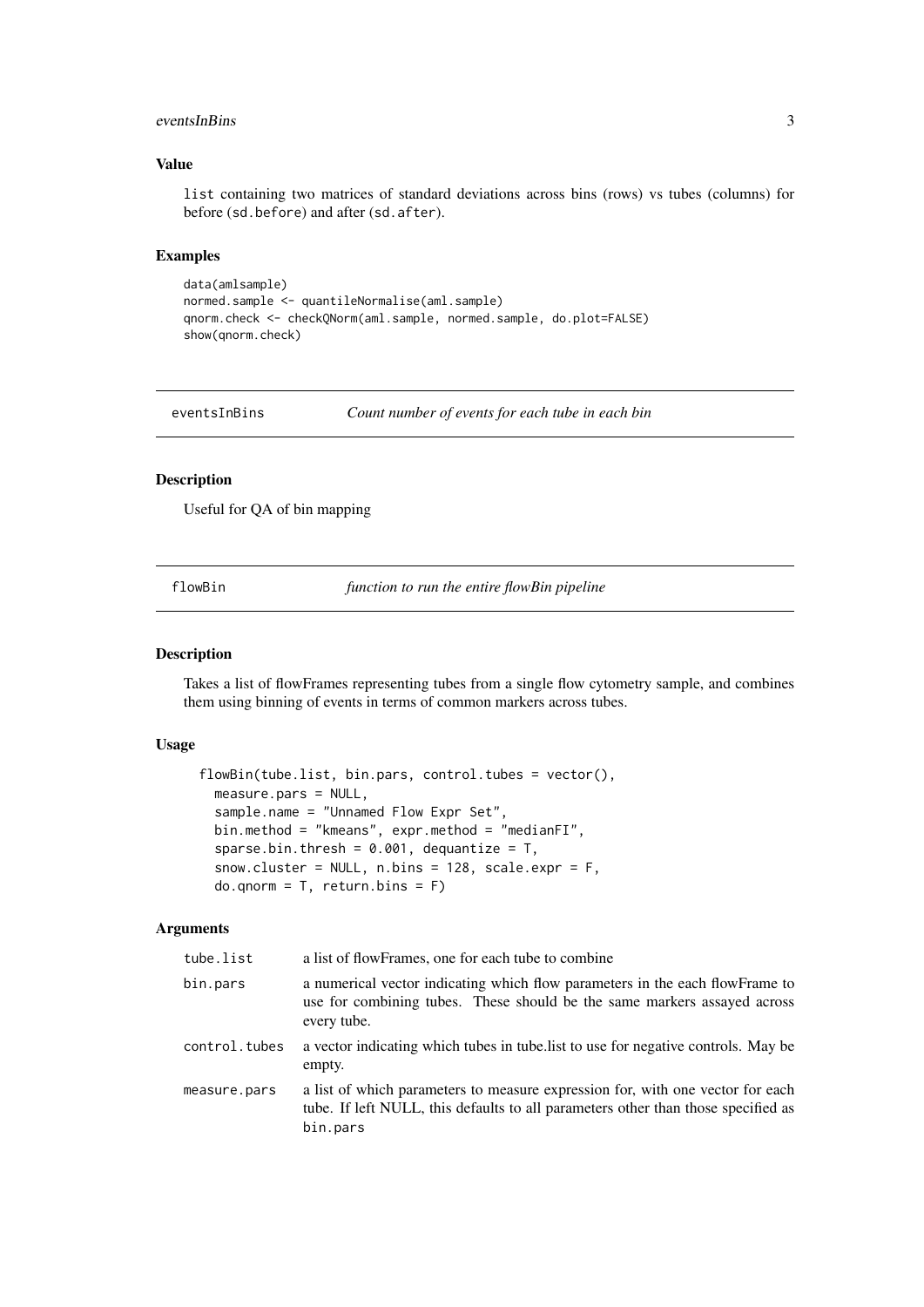#### <span id="page-2-0"></span>eventsInBins 3

## Value

list containing two matrices of standard deviations across bins (rows) vs tubes (columns) for before (sd.before) and after (sd.after).

#### Examples

```
data(amlsample)
normed.sample <- quantileNormalise(aml.sample)
qnorm.check <- checkQNorm(aml.sample, normed.sample, do.plot=FALSE)
show(qnorm.check)
```
eventsInBins *Count number of events for each tube in each bin*

#### Description

Useful for QA of bin mapping

flowBin *function to run the entire flowBin pipeline*

#### Description

Takes a list of flowFrames representing tubes from a single flow cytometry sample, and combines them using binning of events in terms of common markers across tubes.

## Usage

```
flowBin(tube.list, bin.pars, control.tubes = vector(),
 measure.pars = NULL,
 sample.name = "Unnamed Flow Expr Set",
 bin.method = "kmeans", expr.method = "medianFI",
 sparse.bin.thresh = 0.001, dequantize = T,
 snow.cluster = NULL, n.bins = 128, scale.expr = F,
 do.qnorm = T, return.bins = F)
```
## Arguments

| tube.list     | a list of flowFrames, one for each tube to combine                                                                                                                              |
|---------------|---------------------------------------------------------------------------------------------------------------------------------------------------------------------------------|
| bin.pars      | a numerical vector indicating which flow parameters in the each flowFrame to<br>use for combining tubes. These should be the same markers assayed across<br>every tube.         |
| control.tubes | a vector indicating which tubes in tube list to use for negative controls. May be<br>empty.                                                                                     |
| measure.pars  | a list of which parameters to measure expression for, with one vector for each<br>tube. If left NULL, this defaults to all parameters other than those specified as<br>bin.pars |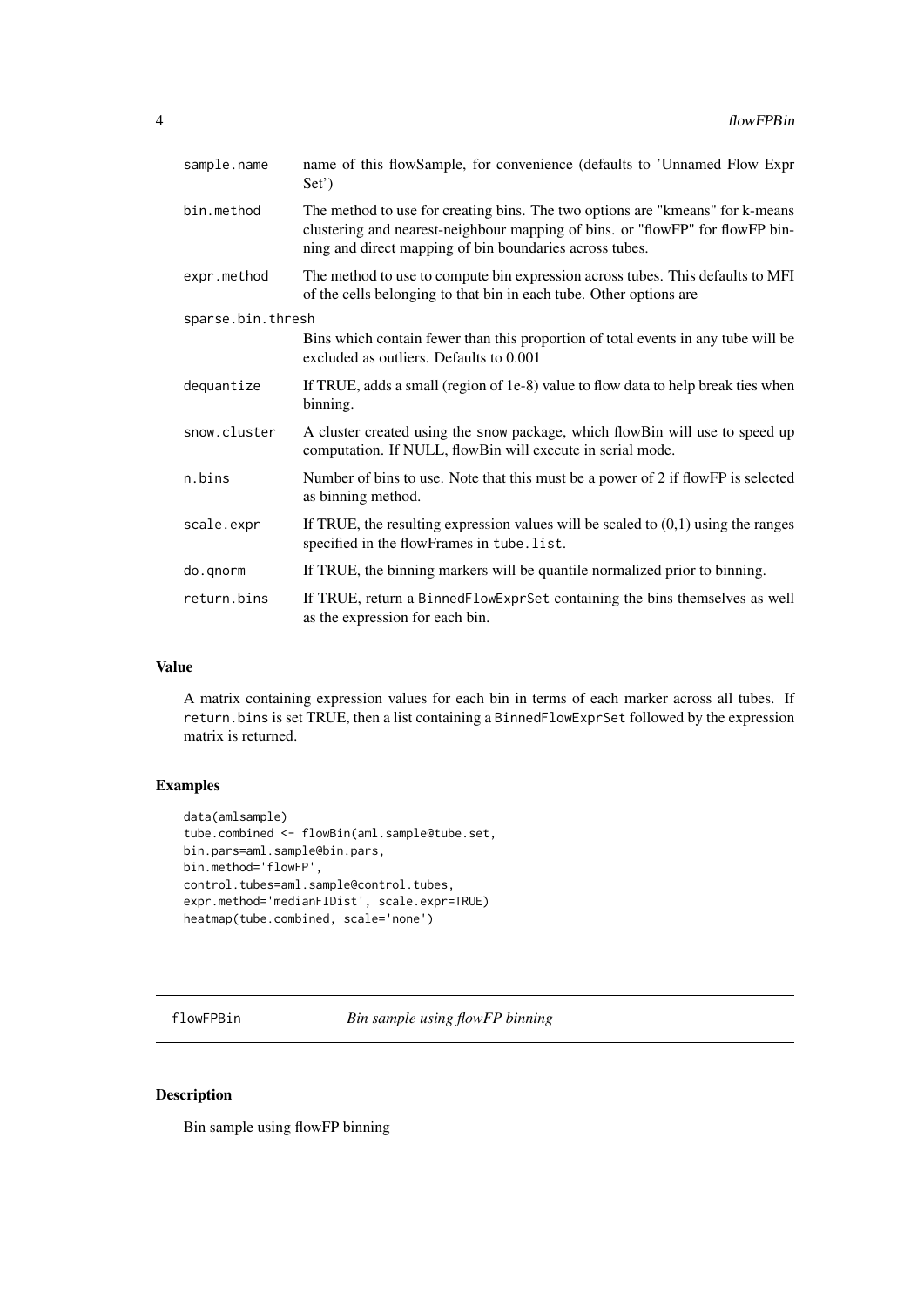<span id="page-3-0"></span>

| sample.name       | name of this flowSample, for convenience (defaults to 'Unnamed Flow Expr<br>Set <sup>'</sup> )                                                                                                                            |
|-------------------|---------------------------------------------------------------------------------------------------------------------------------------------------------------------------------------------------------------------------|
| bin.method        | The method to use for creating bins. The two options are "kmeans" for k-means<br>clustering and nearest-neighbour mapping of bins. or "flowFP" for flowFP bin-<br>ning and direct mapping of bin boundaries across tubes. |
| expr.method       | The method to use to compute bin expression across tubes. This defaults to MFI<br>of the cells belonging to that bin in each tube. Other options are                                                                      |
| sparse.bin.thresh |                                                                                                                                                                                                                           |
|                   | Bins which contain fewer than this proportion of total events in any tube will be<br>excluded as outliers. Defaults to 0.001                                                                                              |
| dequantize        | If TRUE, adds a small (region of 1e-8) value to flow data to help break ties when<br>binning.                                                                                                                             |
| snow.cluster      | A cluster created using the snow package, which flowBin will use to speed up<br>computation. If NULL, flowBin will execute in serial mode.                                                                                |
| n.bins            | Number of bins to use. Note that this must be a power of 2 if flow FP is selected<br>as binning method.                                                                                                                   |
| scale.expr        | If TRUE, the resulting expression values will be scaled to $(0,1)$ using the ranges<br>specified in the flowFrames in tube.list.                                                                                          |
| do.gnorm          | If TRUE, the binning markers will be quantile normalized prior to binning.                                                                                                                                                |
| return.bins       | If TRUE, return a BinnedFlowExprSet containing the bins themselves as well<br>as the expression for each bin.                                                                                                             |

## Value

A matrix containing expression values for each bin in terms of each marker across all tubes. If return.bins is set TRUE, then a list containing a BinnedFlowExprSet followed by the expression matrix is returned.

## Examples

```
data(amlsample)
tube.combined <- flowBin(aml.sample@tube.set,
bin.pars=aml.sample@bin.pars,
bin.method='flowFP',
control.tubes=aml.sample@control.tubes,
expr.method='medianFIDist', scale.expr=TRUE)
heatmap(tube.combined, scale='none')
```
flowFPBin *Bin sample using flowFP binning*

## Description

Bin sample using flowFP binning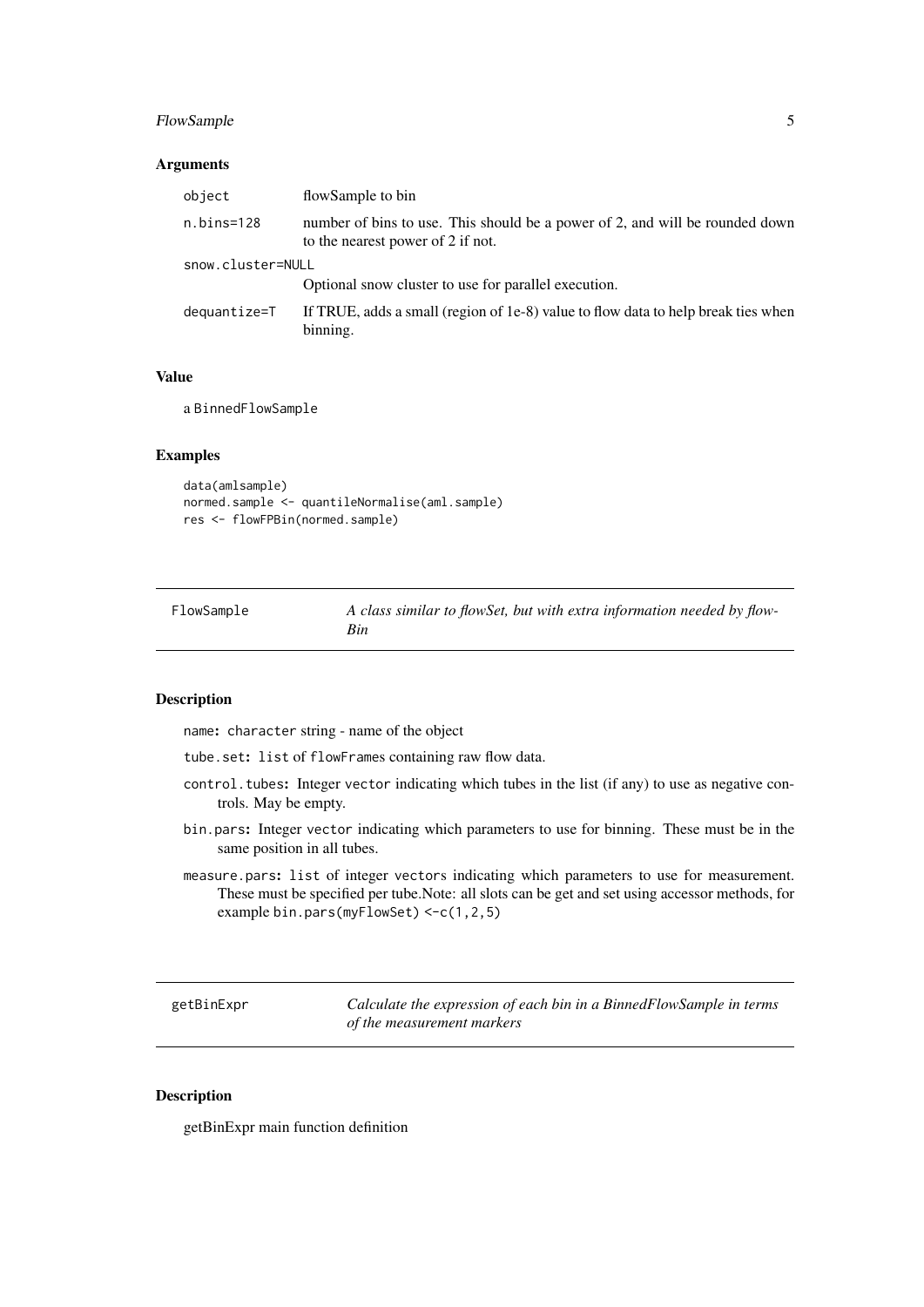#### <span id="page-4-0"></span>FlowSample 5

## Arguments

| object            | flowSample to bin                                                                                                 |
|-------------------|-------------------------------------------------------------------------------------------------------------------|
| n.bins=128        | number of bins to use. This should be a power of 2, and will be rounded down<br>to the nearest power of 2 if not. |
| snow.cluster=NULL |                                                                                                                   |
|                   | Optional snow cluster to use for parallel execution.                                                              |
| dequantize=T      | If TRUE, adds a small (region of 1e-8) value to flow data to help break ties when<br>binning.                     |
|                   |                                                                                                                   |

#### Value

a BinnedFlowSample

#### Examples

```
data(amlsample)
normed.sample <- quantileNormalise(aml.sample)
res <- flowFPBin(normed.sample)
```

| FlowSample | A class similar to flowSet, but with extra information needed by flow- |
|------------|------------------------------------------------------------------------|
|            | Bin                                                                    |

## Description

name: character string - name of the object

tube.set: list of flowFrames containing raw flow data.

- control.tubes: Integer vector indicating which tubes in the list (if any) to use as negative controls. May be empty.
- bin.pars: Integer vector indicating which parameters to use for binning. These must be in the same position in all tubes.
- measure.pars: list of integer vectors indicating which parameters to use for measurement. These must be specified per tube.Note: all slots can be get and set using accessor methods, for example bin.pars(myFlowSet) <-c(1,2,5)

getBinExpr *Calculate the expression of each bin in a BinnedFlowSample in terms of the measurement markers*

#### Description

getBinExpr main function definition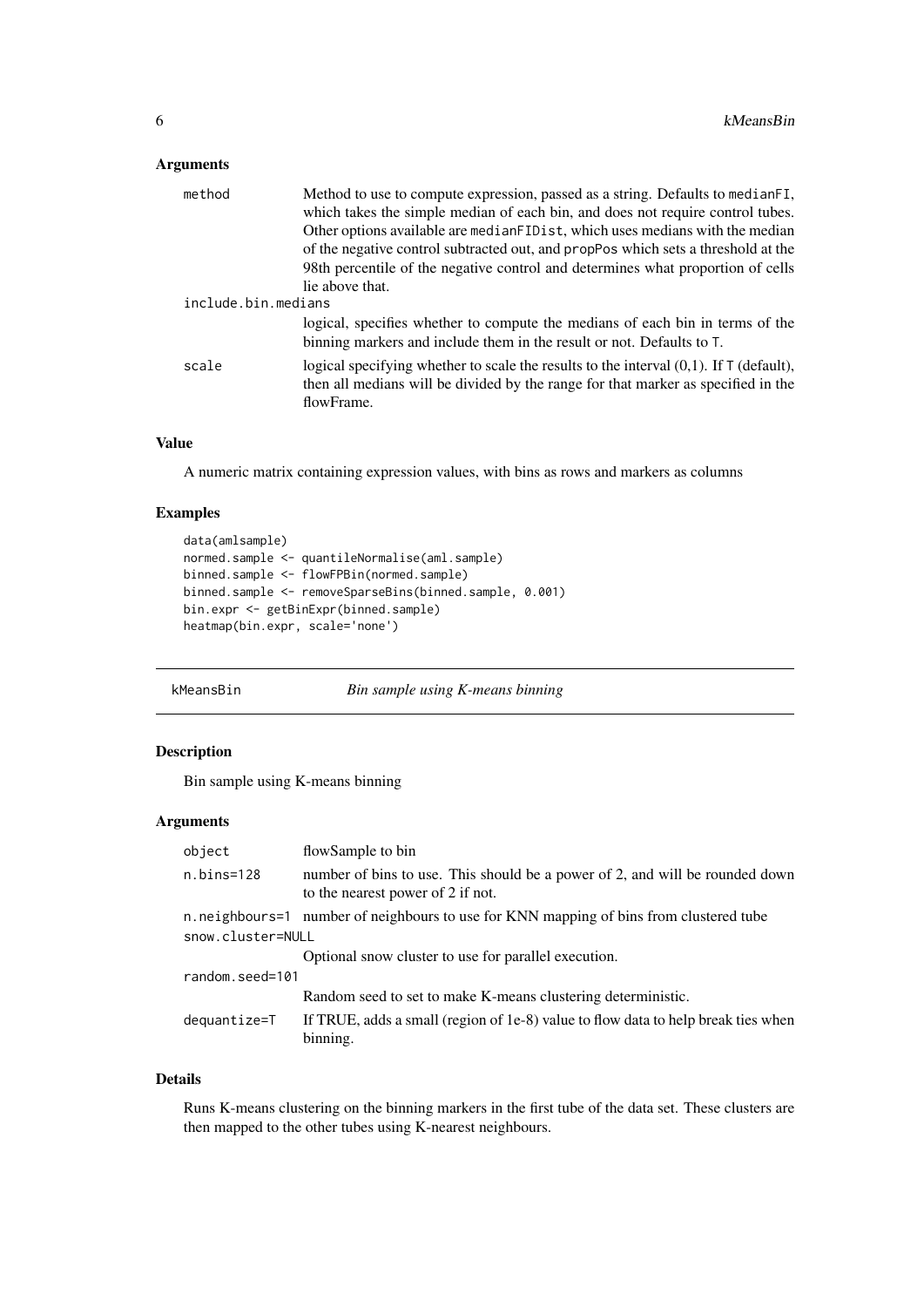## <span id="page-5-0"></span>Arguments

| method              | Method to use to compute expression, passed as a string. Defaults to medianFI,<br>which takes the simple median of each bin, and does not require control tubes.                             |
|---------------------|----------------------------------------------------------------------------------------------------------------------------------------------------------------------------------------------|
|                     | Other options available are medianFIDist, which uses medians with the median                                                                                                                 |
|                     | of the negative control subtracted out, and propPos which sets a threshold at the                                                                                                            |
|                     | 98th percentile of the negative control and determines what proportion of cells                                                                                                              |
|                     | lie above that.                                                                                                                                                                              |
| include.bin.medians |                                                                                                                                                                                              |
|                     | logical, specifies whether to compute the medians of each bin in terms of the<br>binning markers and include them in the result or not. Defaults to T.                                       |
| scale               | logical specifying whether to scale the results to the interval $(0,1)$ . If T (default),<br>then all medians will be divided by the range for that marker as specified in the<br>flowFrame. |

## Value

A numeric matrix containing expression values, with bins as rows and markers as columns

#### Examples

```
data(amlsample)
normed.sample <- quantileNormalise(aml.sample)
binned.sample <- flowFPBin(normed.sample)
binned.sample <- removeSparseBins(binned.sample, 0.001)
bin.expr <- getBinExpr(binned.sample)
heatmap(bin.expr, scale='none')
```
kMeansBin *Bin sample using K-means binning*

#### Description

Bin sample using K-means binning

## Arguments

| object            | flowSample to bin                                                                                                 |  |  |
|-------------------|-------------------------------------------------------------------------------------------------------------------|--|--|
| $n.bins=128$      | number of bins to use. This should be a power of 2, and will be rounded down<br>to the nearest power of 2 if not. |  |  |
|                   | n. neighbours=1 number of neighbours to use for KNN mapping of bins from clustered tube                           |  |  |
| snow.cluster=NULL |                                                                                                                   |  |  |
|                   | Optional snow cluster to use for parallel execution.                                                              |  |  |
| random.seed=101   |                                                                                                                   |  |  |
|                   | Random seed to set to make K-means clustering deterministic.                                                      |  |  |
| dequantize=T      | If TRUE, adds a small (region of 1e-8) value to flow data to help break ties when<br>binning.                     |  |  |

## Details

Runs K-means clustering on the binning markers in the first tube of the data set. These clusters are then mapped to the other tubes using K-nearest neighbours.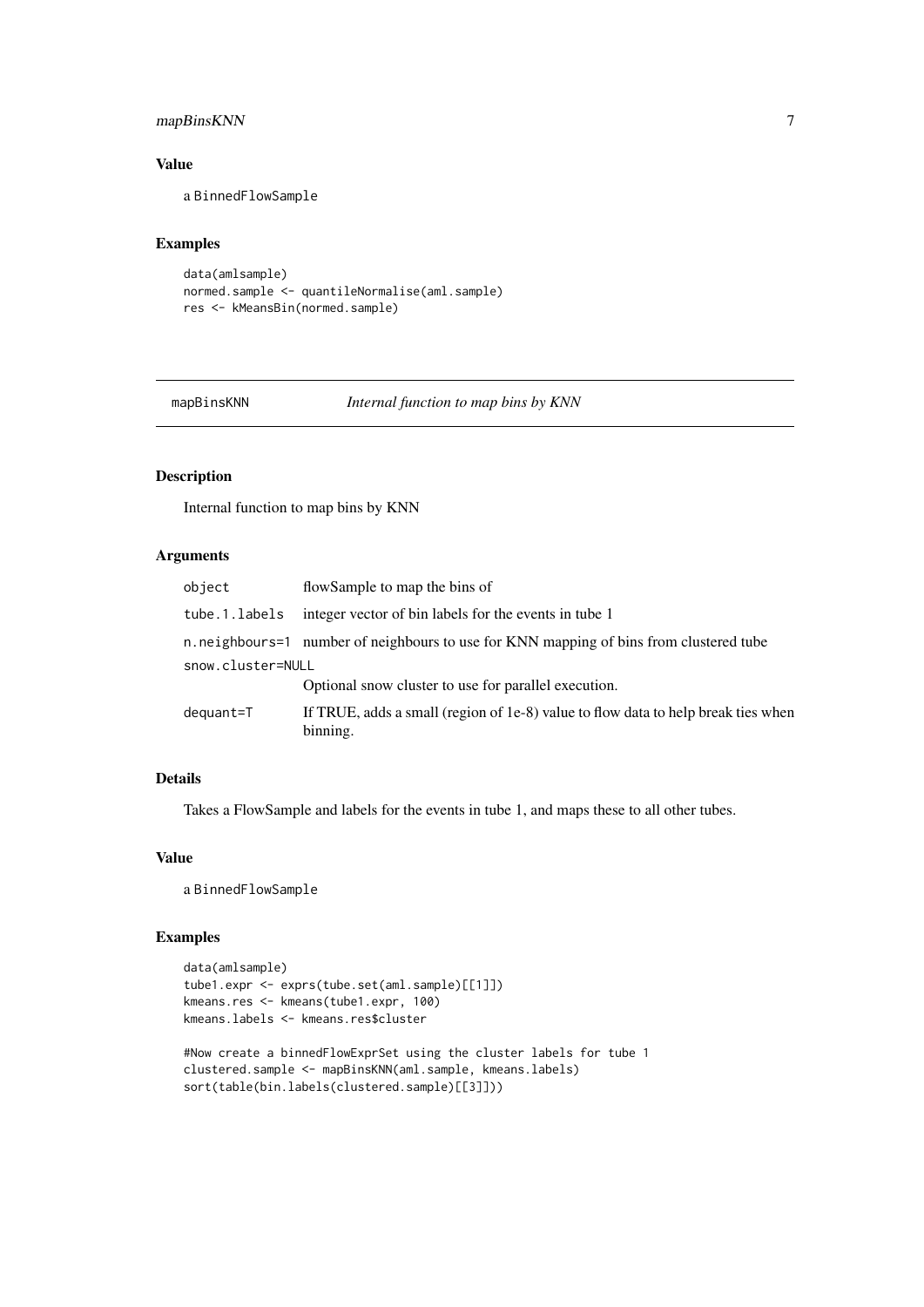## <span id="page-6-0"></span>mapBinsKNN 7

## Value

a BinnedFlowSample

#### Examples

```
data(amlsample)
normed.sample <- quantileNormalise(aml.sample)
res <- kMeansBin(normed.sample)
```
mapBinsKNN *Internal function to map bins by KNN*

## Description

Internal function to map bins by KNN

## Arguments

| object            | flowSample to map the bins of                                                                 |
|-------------------|-----------------------------------------------------------------------------------------------|
| tube.1.labels     | integer vector of bin labels for the events in tube 1                                         |
|                   | n neighbours=1 number of neighbours to use for KNN mapping of bins from clustered tube        |
| snow.cluster=NULL |                                                                                               |
|                   | Optional snow cluster to use for parallel execution.                                          |
| dequant=T         | If TRUE, adds a small (region of 1e-8) value to flow data to help break ties when<br>binning. |

## Details

Takes a FlowSample and labels for the events in tube 1, and maps these to all other tubes.

#### Value

a BinnedFlowSample

## Examples

```
data(amlsample)
tube1.expr <- exprs(tube.set(aml.sample)[[1]])
kmeans.res <- kmeans(tube1.expr, 100)
kmeans.labels <- kmeans.res$cluster
#Now create a binnedFlowExprSet using the cluster labels for tube 1
clustered.sample <- mapBinsKNN(aml.sample, kmeans.labels)
```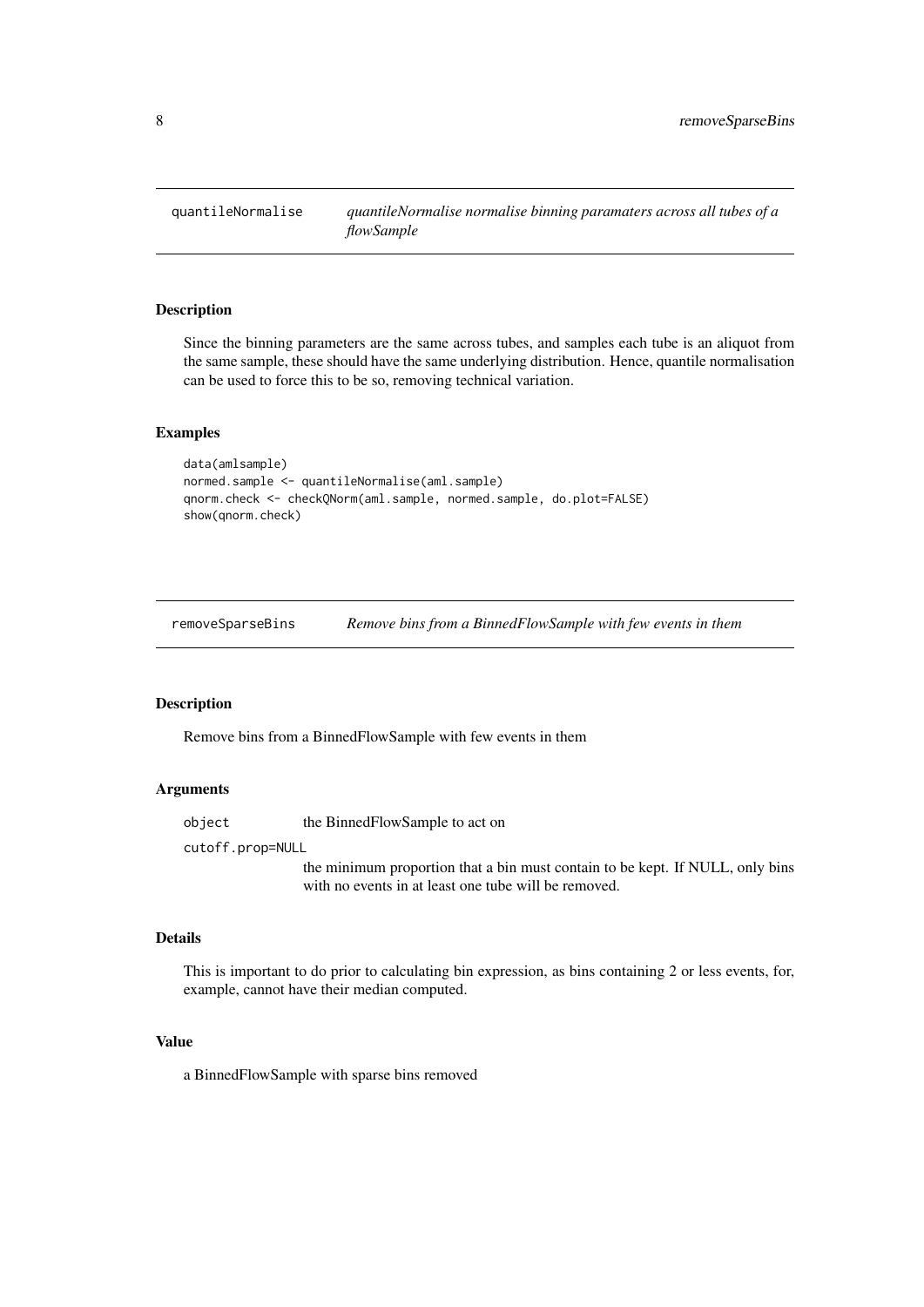<span id="page-7-0"></span>

#### Description

Since the binning parameters are the same across tubes, and samples each tube is an aliquot from the same sample, these should have the same underlying distribution. Hence, quantile normalisation can be used to force this to be so, removing technical variation.

## Examples

```
data(amlsample)
normed.sample <- quantileNormalise(aml.sample)
qnorm.check <- checkQNorm(aml.sample, normed.sample, do.plot=FALSE)
show(qnorm.check)
```
removeSparseBins *Remove bins from a BinnedFlowSample with few events in them*

## Description

Remove bins from a BinnedFlowSample with few events in them

## Arguments

object the BinnedFlowSample to act on

cutoff.prop=NULL

the minimum proportion that a bin must contain to be kept. If NULL, only bins with no events in at least one tube will be removed.

## Details

This is important to do prior to calculating bin expression, as bins containing 2 or less events, for, example, cannot have their median computed.

## Value

a BinnedFlowSample with sparse bins removed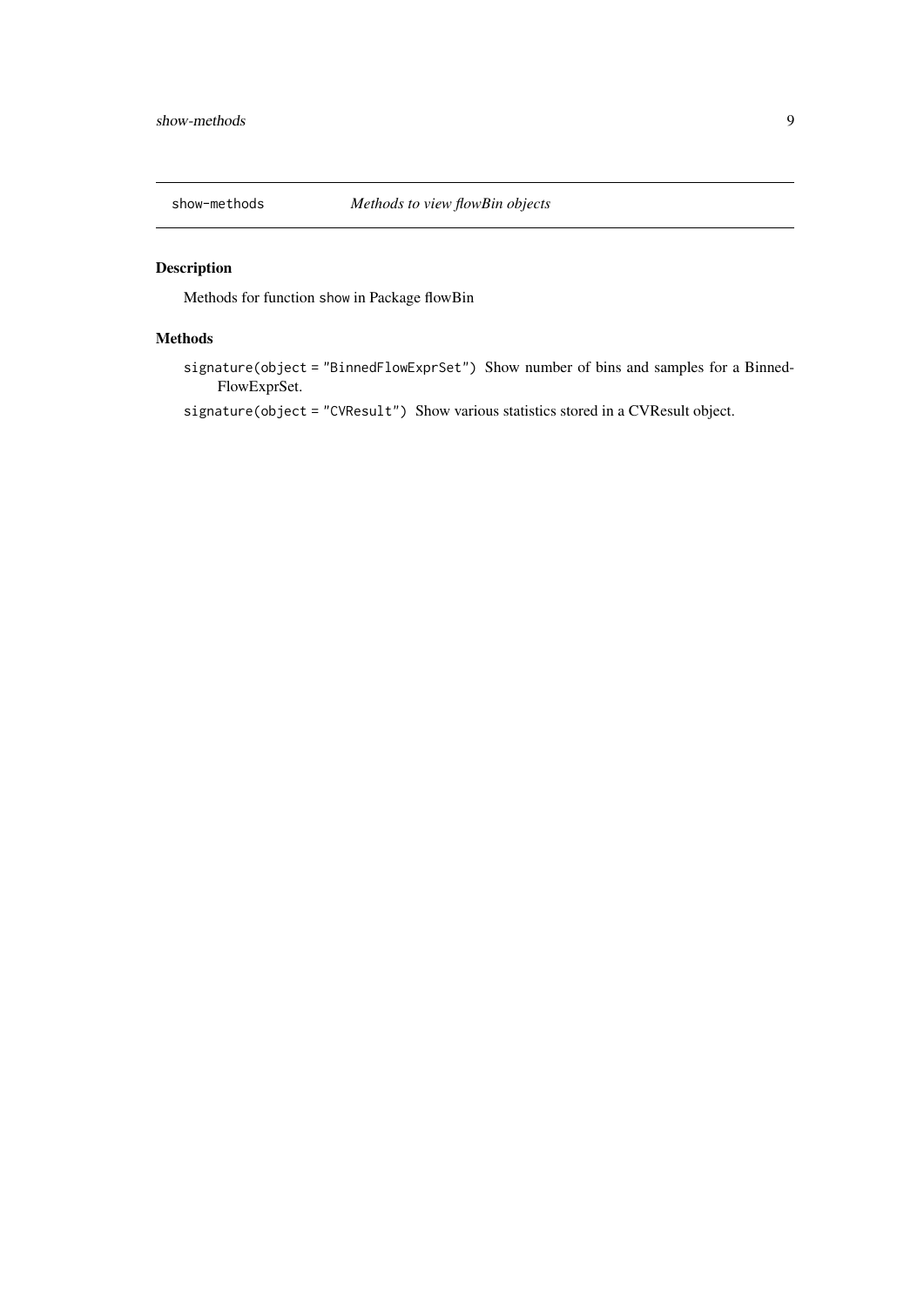<span id="page-8-0"></span>

## Description

Methods for function show in Package flowBin

## Methods

signature(object = "BinnedFlowExprSet") Show number of bins and samples for a Binned-FlowExprSet.

signature(object = "CVResult") Show various statistics stored in a CVResult object.